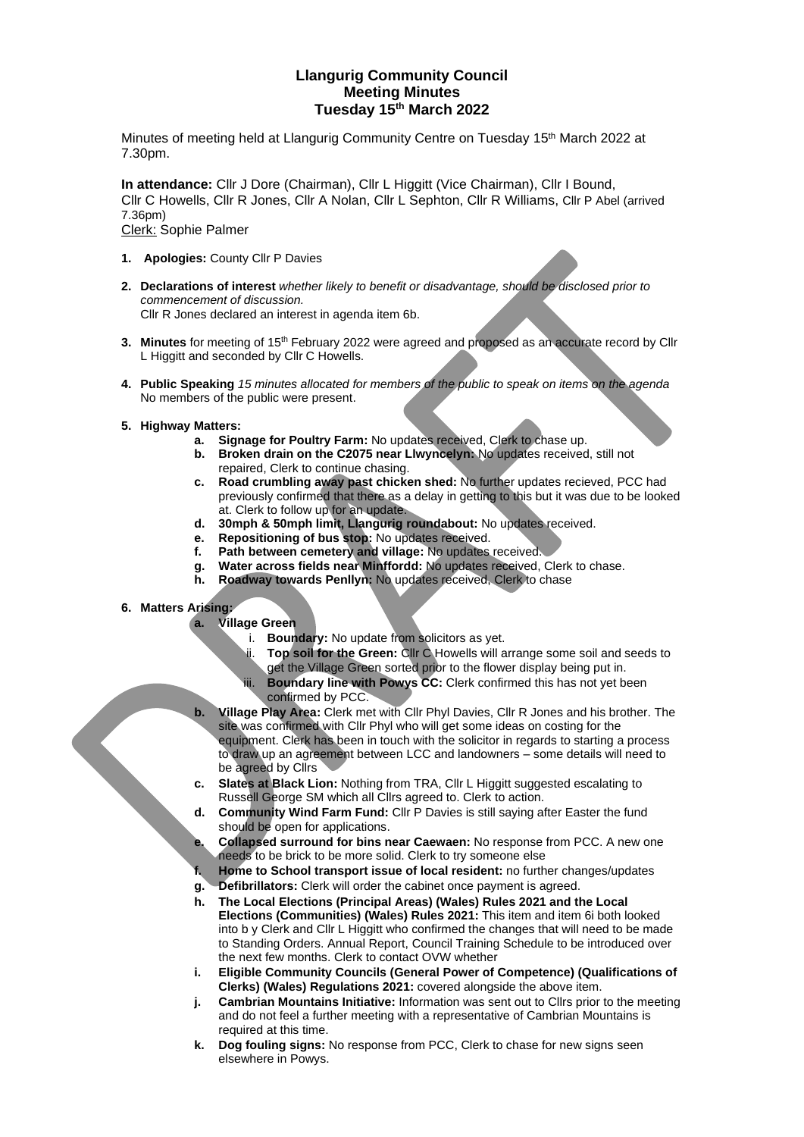## **Llangurig Community Council Meeting Minutes Tuesday 15 th March 2022**

Minutes of meeting held at Llangurig Community Centre on Tuesday 15<sup>th</sup> March 2022 at 7.30pm.

**In attendance:** Cllr J Dore (Chairman), Cllr L Higgitt (Vice Chairman), Cllr I Bound, Cllr C Howells, Cllr R Jones, Cllr A Nolan, Cllr L Sephton, Cllr R Williams, Cllr P Abel (arrived 7.36pm) Clerk: Sophie Palmer

- **1. Apologies:** County Cllr P Davies
- **2. Declarations of interest** *whether likely to benefit or disadvantage, should be disclosed prior to commencement of discussion.*  Cllr R Jones declared an interest in agenda item 6b.
- **3. Minutes** for meeting of 15<sup>th</sup> February 2022 were agreed and proposed as an accurate record by Cllr L Higgitt and seconded by Cllr C Howells.
- **4. Public Speaking** *15 minutes allocated for members of the public to speak on items on the agenda* No members of the public were present.
- **5. Highway Matters:** 
	- **a. Signage for Poultry Farm:** No updates received, Clerk to chase up.
	- **b. Broken drain on the C2075 near Llwyncelyn:** No updates received, still not repaired, Clerk to continue chasing.
	- **c. Road crumbling away past chicken shed:** No further updates recieved, PCC had previously confirmed that there as a delay in getting to this but it was due to be looked at. Clerk to follow up for an update.
	- **d. 30mph & 50mph limit, Llangurig roundabout:** No updates received.
	- **e. Repositioning of bus stop:** No updates received.
	- **f. Path between cemetery and village:** No updates received.
	- **g. Water across fields near Minffordd:** No updates received, Clerk to chase.
	- **h. Roadway towards Penllyn:** No updates received, Clerk to chase
- **6. Matters Arising:** 
	- **a. Village Green**
		- i. **Boundary:** No update from solicitors as yet.
		- ii. **Top soil for the Green:** Cllr C Howells will arrange some soil and seeds to get the Village Green sorted prior to the flower display being put in.
		- iii. **Boundary line with Powys CC:** Clerk confirmed this has not yet been confirmed by PCC.
	- **b. Village Play Area:** Clerk met with Cllr Phyl Davies, Cllr R Jones and his brother. The site was confirmed with Cllr Phyl who will get some ideas on costing for the equipment. Clerk has been in touch with the solicitor in regards to starting a process to draw up an agreement between LCC and landowners – some details will need to be agreed by Cllrs
	- **c. Slates at Black Lion:** Nothing from TRA, Cllr L Higgitt suggested escalating to Russell George SM which all Cllrs agreed to. Clerk to action.
	- **d. Community Wind Farm Fund:** Cllr P Davies is still saying after Easter the fund should be open for applications.
	- **e. Collapsed surround for bins near Caewaen:** No response from PCC. A new one needs to be brick to be more solid. Clerk to try someone else
	- **f. Home to School transport issue of local resident:** no further changes/updates
	- **g. Defibrillators:** Clerk will order the cabinet once payment is agreed.
	- **h. The Local Elections (Principal Areas) (Wales) Rules 2021 and the Local Elections (Communities) (Wales) Rules 2021:** This item and item 6i both looked into b y Clerk and Cllr L Higgitt who confirmed the changes that will need to be made to Standing Orders. Annual Report, Council Training Schedule to be introduced over the next few months. Clerk to contact OVW whether
	- **i. Eligible Community Councils (General Power of Competence) (Qualifications of Clerks) (Wales) Regulations 2021:** covered alongside the above item.
	- **j. Cambrian Mountains Initiative:** Information was sent out to Cllrs prior to the meeting and do not feel a further meeting with a representative of Cambrian Mountains is required at this time.
	- **k. Dog fouling signs:** No response from PCC, Clerk to chase for new signs seen elsewhere in Powys.